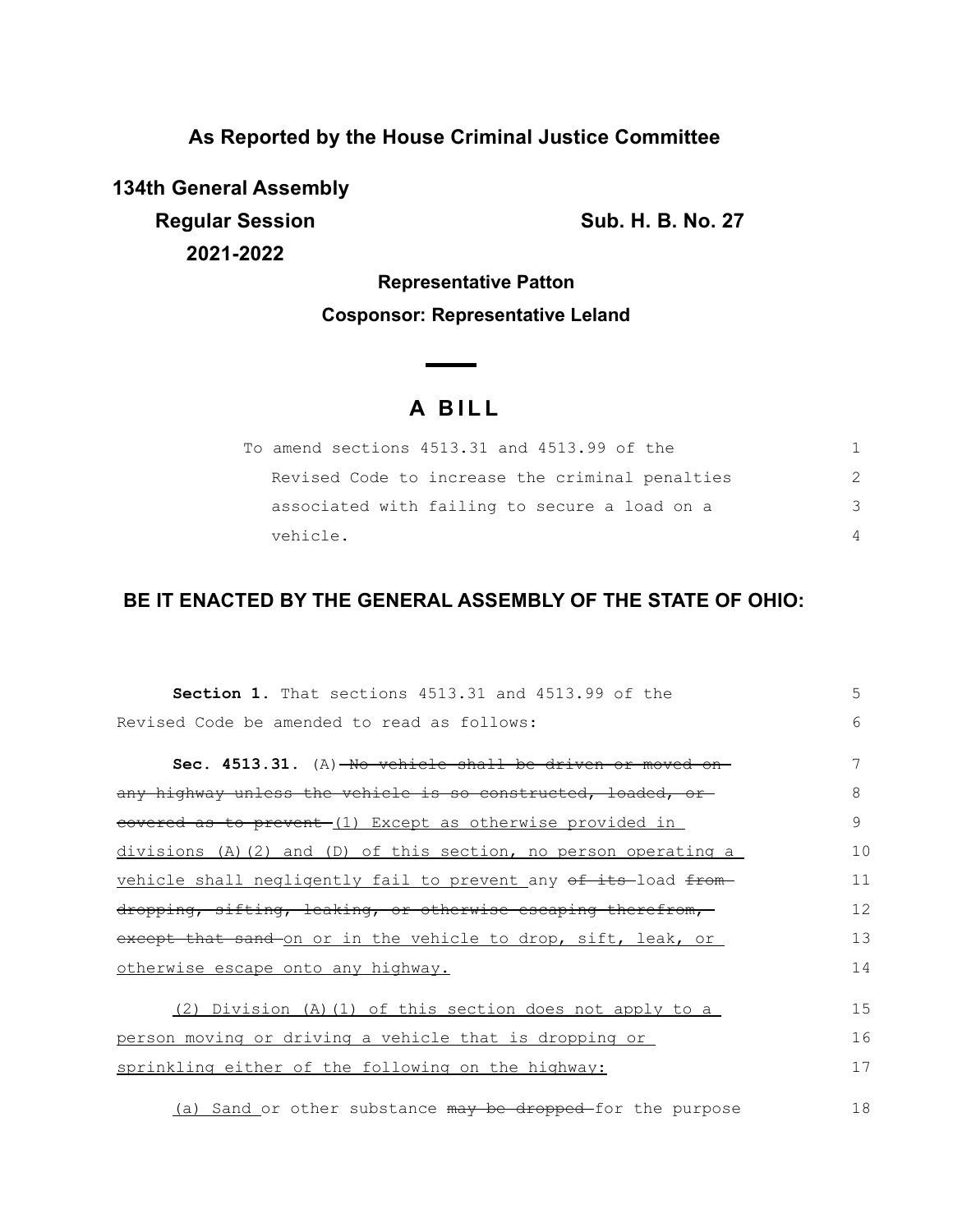**As Reported by the House Criminal Justice Committee**

**134th General Assembly Regular Session Sub. H. B. No. 27 2021-2022**

**Representative Patton Cosponsor: Representative Leland**

## **A B I L L**

| To amend sections 4513.31 and 4513.99 of the    |               |
|-------------------------------------------------|---------------|
| Revised Code to increase the criminal penalties | $\mathcal{P}$ |
| associated with failing to secure a load on a   | -२            |
| vehicle.                                        | $\Delta$      |

## **BE IT ENACTED BY THE GENERAL ASSEMBLY OF THE STATE OF OHIO:**

| Section 1. That sections 4513.31 and 4513.99 of the                    | 5  |
|------------------------------------------------------------------------|----|
| Revised Code be amended to read as follows:                            | 6  |
| Sec. 4513.31. (A)-No vehicle shall be driven or moved                  |    |
| any highway unless the vehicle is so constructed, loaded, or           | 8  |
| eovered as to prevent-(1) Except as otherwise provided in              | 9  |
| $divisions$ (A)(2) and (D) of this section, no person operating a      | 10 |
| vehicle shall negligently fail to prevent any of its-load from-        | 11 |
| dropping, sifting, leaking, or otherwise escaping therefrom,           | 12 |
| except that sand on or in the vehicle to drop, sift, leak, or          | 13 |
| otherwise escape onto any highway.                                     | 14 |
| (2) Division (A) (1) of this section does not apply to a               | 15 |
| person moving or driving a vehicle that is dropping or                 | 16 |
| sprinkling either of the following on the highway:                     | 17 |
| (a) Sand or other substance <del>may be dropped </del> for the purpose | 18 |

(a) Sand or other substance may be dropped-for the purpose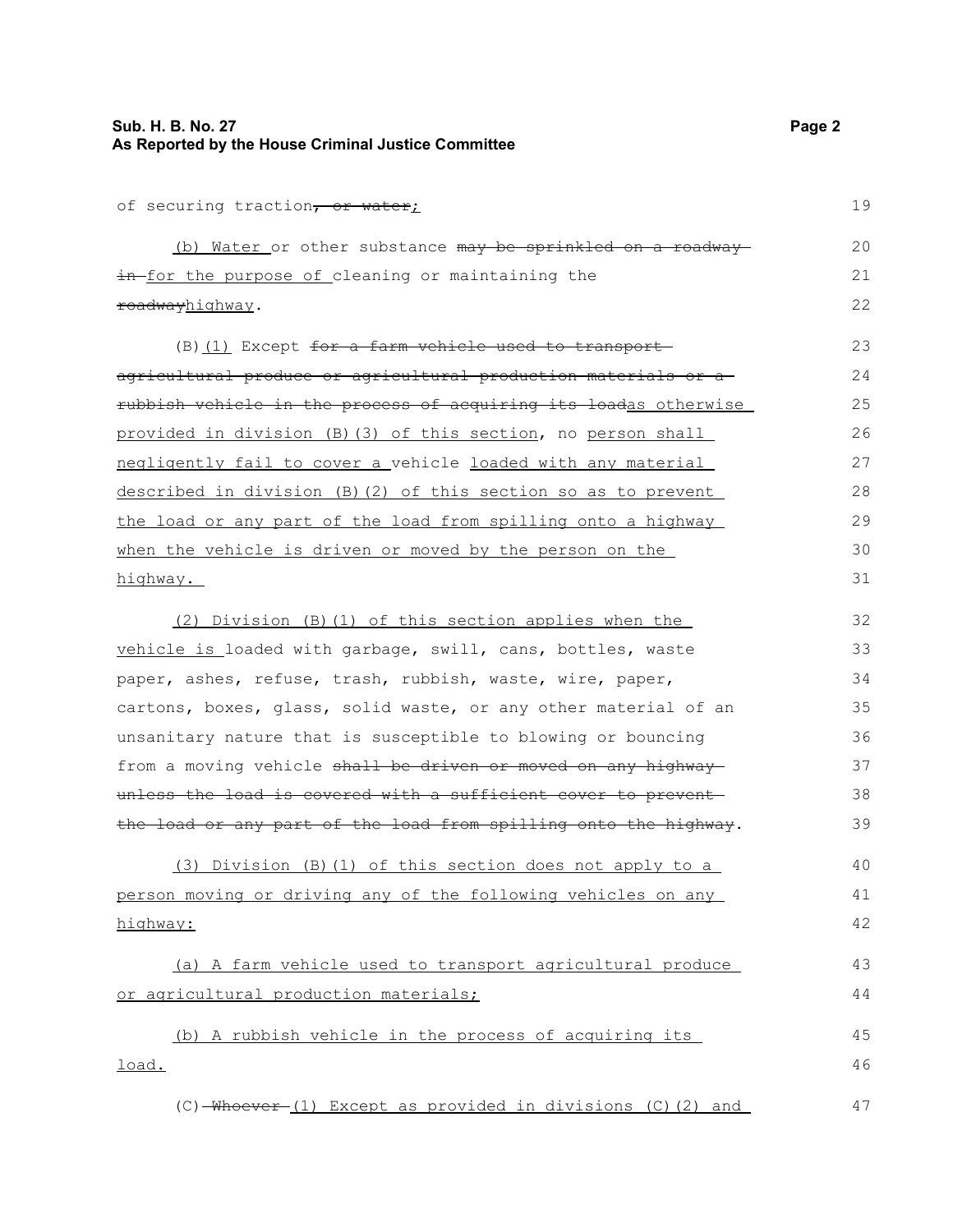## **Sub. H. B. No. 27 Page 2 As Reported by the House Criminal Justice Committee**

of securing traction, or water;

(b) Water or other substance may be sprinkled on a roadwayin for the purpose of cleaning or maintaining the roadwayhighway. 20 21 22

(B) (1) Except for a farm vehicle used to transportagricultural produce or agricultural production materials or a rubbish vehicle in the process of acquiring its loadas otherwise provided in division (B)(3) of this section, no person shall negligently fail to cover a vehicle loaded with any material described in division (B)(2) of this section so as to prevent the load or any part of the load from spilling onto a highway when the vehicle is driven or moved by the person on the highway. 24 25 26 27 28 29

(2) Division (B)(1) of this section applies when the vehicle is loaded with garbage, swill, cans, bottles, waste paper, ashes, refuse, trash, rubbish, waste, wire, paper, cartons, boxes, glass, solid waste, or any other material of an unsanitary nature that is susceptible to blowing or bouncing from a moving vehicle shall be driven or moved on any highway unless the load is covered with a sufficient cover to preventthe load or any part of the load from spilling onto the highway. (3) Division (B)(1) of this section does not apply to a person moving or driving any of the following vehicles on any highway: (a) A farm vehicle used to transport agricultural produce 32 33 34 35 36 37 38 39 40 41 42 43

or agricultural production materials;

(b) A rubbish vehicle in the process of acquiring its load. 45 46

 $(C)$  -Whoever (1) Except as provided in divisions  $(C)$  (2) and 47

19

23

30 31

44